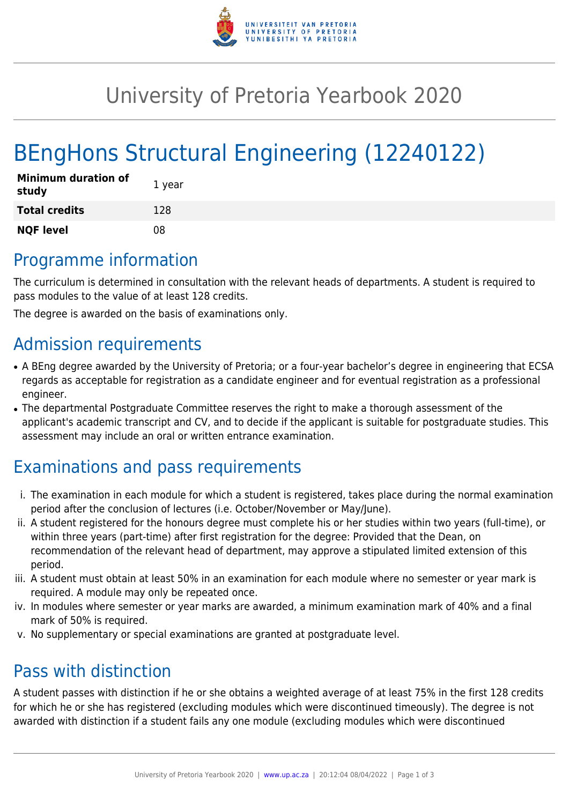

## University of Pretoria Yearbook 2020

# BEngHons Structural Engineering (12240122)

| <b>Minimum duration of</b><br>study | 1 year |
|-------------------------------------|--------|
| <b>Total credits</b>                | 128    |
| <b>NQF level</b>                    | 08     |

### Programme information

The curriculum is determined in consultation with the relevant heads of departments. A student is required to pass modules to the value of at least 128 credits.

The degree is awarded on the basis of examinations only.

#### Admission requirements

- A BEng degree awarded by the University of Pretoria; or a four-year bachelor's degree in engineering that ECSA regards as acceptable for registration as a candidate engineer and for eventual registration as a professional engineer.
- The departmental Postgraduate Committee reserves the right to make a thorough assessment of the applicant's academic transcript and CV, and to decide if the applicant is suitable for postgraduate studies. This assessment may include an oral or written entrance examination.

### Examinations and pass requirements

- i. The examination in each module for which a student is registered, takes place during the normal examination period after the conclusion of lectures (i.e. October/November or May/June).
- ii. A student registered for the honours degree must complete his or her studies within two years (full-time), or within three years (part-time) after first registration for the degree: Provided that the Dean, on recommendation of the relevant head of department, may approve a stipulated limited extension of this period.
- iii. A student must obtain at least 50% in an examination for each module where no semester or year mark is required. A module may only be repeated once.
- iv. In modules where semester or year marks are awarded, a minimum examination mark of 40% and a final mark of 50% is required.
- v. No supplementary or special examinations are granted at postgraduate level.

### Pass with distinction

A student passes with distinction if he or she obtains a weighted average of at least 75% in the first 128 credits for which he or she has registered (excluding modules which were discontinued timeously). The degree is not awarded with distinction if a student fails any one module (excluding modules which were discontinued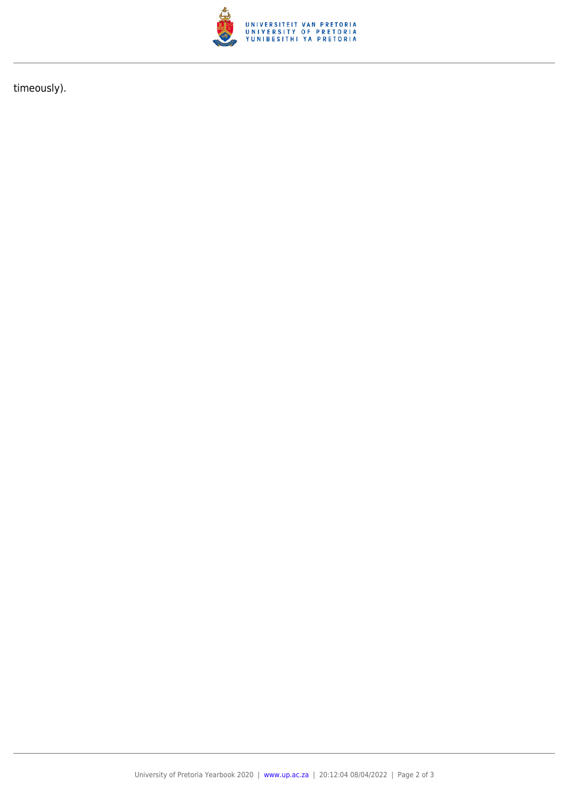

timeously).